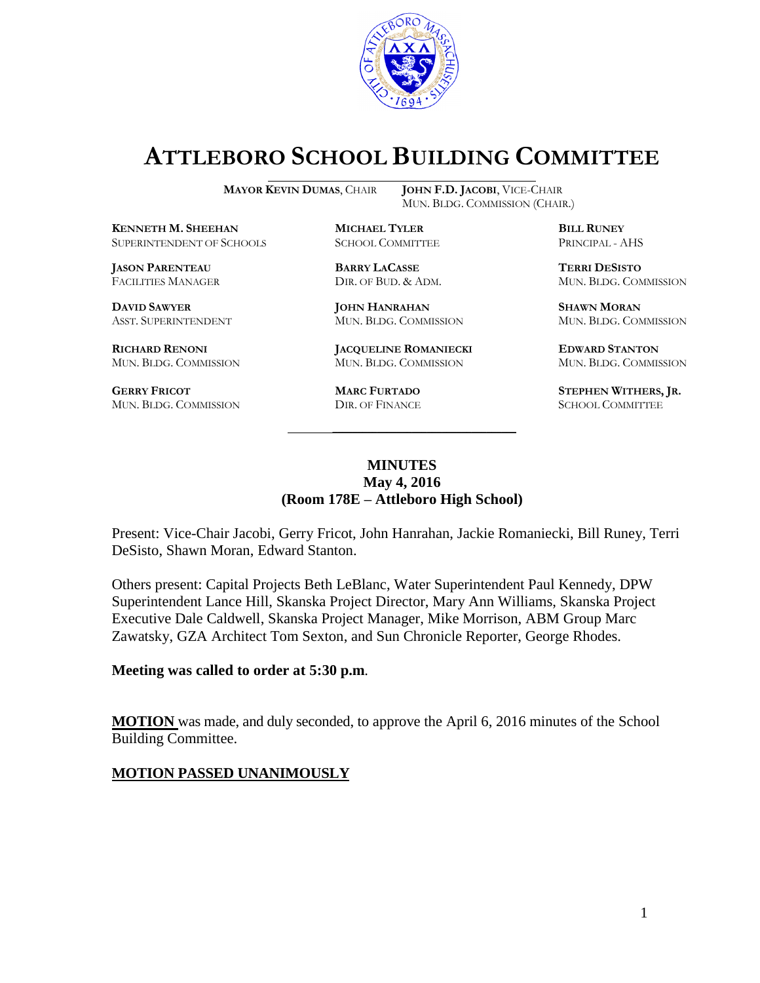

# **ATTLEBORO SCHOOL BUILDING COMMITTEE**

MUN. BLDG. COMMISSION (CHAIR.)

**MAYOR KEVIN DUMAS**, CHAIR **JOHN F.D. JACOBI**, VICE-CHAIR

**KENNETH M. SHEEHAN MICHAEL TYLER BILL RUNEY** SUPERINTENDENT OF SCHOOLS SCHOOL COMMITTEE PRINCIPAL - AHS

**JASON PARENTEAU BARRY LACASSE TERRI DESISTO**

**GERRY FRICOT MARC FURTADO STEPHEN WITHERS, JR.**<br>
MUN. BLDG. COMMISSION DIR. OF FINANCE SCHOOL COMMITTEE MUN. BLDG. COMMISSION DIR. OF FINANCE SCHOOL COMMITTEE

**DAVID SAWYER JOHN HANRAHAN SHAWN MORAN**

**RICHARD RENONI JACQUELINE ROMANIECKI EDWARD STANTON** MUN. BLDG. COMMISSION MUN. BLDG. COMMISSION MUN. BLDG. COMMISSION

FACILITIES MANAGER DIR. OF BUD. & ADM. MUN. BLDG. COMMISSION

ASST. SUPERINTENDENT MUN. BLDG. COMMISSION MUN. BLDG. COMMISSION

### **MINUTES May 4, 2016 (Room 178E – Attleboro High School)**

\_\_\_\_\_\_\_\_\_\_\_\_\_\_\_\_\_\_\_\_\_\_\_\_\_\_\_\_\_\_\_\_\_\_\_\_\_

Present: Vice-Chair Jacobi, Gerry Fricot, John Hanrahan, Jackie Romaniecki, Bill Runey, Terri DeSisto, Shawn Moran, Edward Stanton.

Others present: Capital Projects Beth LeBlanc, Water Superintendent Paul Kennedy, DPW Superintendent Lance Hill, Skanska Project Director, Mary Ann Williams, Skanska Project Executive Dale Caldwell, Skanska Project Manager, Mike Morrison, ABM Group Marc Zawatsky, GZA Architect Tom Sexton, and Sun Chronicle Reporter, George Rhodes.

#### **Meeting was called to order at 5:30 p.m**.

**MOTION** was made, and duly seconded, to approve the April 6, 2016 minutes of the School Building Committee.

#### **MOTION PASSED UNANIMOUSLY**